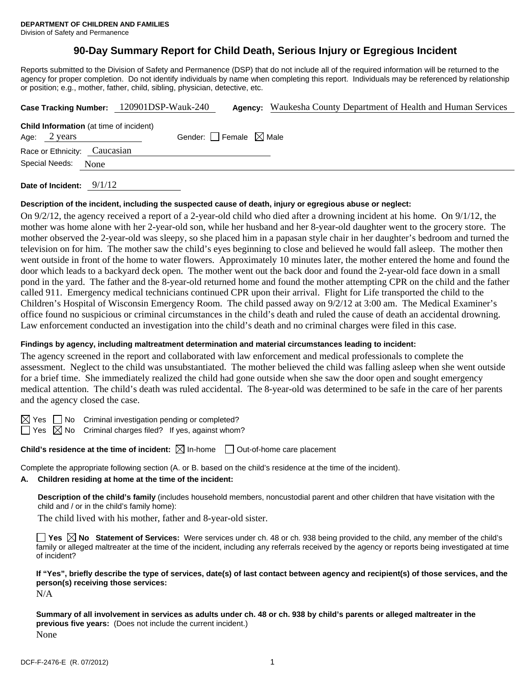# **90-Day Summary Report for Child Death, Serious Injury or Egregious Incident**

Reports submitted to the Division of Safety and Permanence (DSP) that do not include all of the required information will be returned to the agency for proper completion. Do not identify individuals by name when completing this report. Individuals may be referenced by relationship or position; e.g., mother, father, child, sibling, physician, detective, etc.

|                              | Case Tracking Number: 120901DSP-Wauk-240       |                                 | <b>Agency:</b> Waukesha County Department of Health and Human Services |
|------------------------------|------------------------------------------------|---------------------------------|------------------------------------------------------------------------|
| Age: 2 years                 | <b>Child Information</b> (at time of incident) | Gender: Female $\boxtimes$ Male |                                                                        |
| Race or Ethnicity: Caucasian |                                                |                                 |                                                                        |
| Special Needs:               | None                                           |                                 |                                                                        |
| Date of Incident: $9/1/12$   |                                                |                                 |                                                                        |

# **Description of the incident, including the suspected cause of death, injury or egregious abuse or neglect:**

On 9/2/12, the agency received a report of a 2-year-old child who died after a drowning incident at his home. On 9/1/12, the mother was home alone with her 2-year-old son, while her husband and her 8-year-old daughter went to the grocery store. The mother observed the 2-year-old was sleepy, so she placed him in a papasan style chair in her daughter's bedroom and turned the television on for him. The mother saw the child's eyes beginning to close and believed he would fall asleep. The mother then went outside in front of the home to water flowers. Approximately 10 minutes later, the mother entered the home and found the door which leads to a backyard deck open. The mother went out the back door and found the 2-year-old face down in a small pond in the yard. The father and the 8-year-old returned home and found the mother attempting CPR on the child and the father called 911. Emergency medical technicians continued CPR upon their arrival. Flight for Life transported the child to the Children's Hospital of Wisconsin Emergency Room. The child passed away on 9/2/12 at 3:00 am. The Medical Examiner's office found no suspicious or criminal circumstances in the child's death and ruled the cause of death an accidental drowning. Law enforcement conducted an investigation into the child's death and no criminal charges were filed in this case.

### **Findings by agency, including maltreatment determination and material circumstances leading to incident:**

The agency screened in the report and collaborated with law enforcement and medical professionals to complete the assessment. Neglect to the child was unsubstantiated. The mother believed the child was falling asleep when she went outside for a brief time. She immediately realized the child had gone outside when she saw the door open and sought emergency medical attention. The child's death was ruled accidental. The 8-year-old was determined to be safe in the care of her parents and the agency closed the case.

 $\boxtimes$  Yes  $\Box$  No Criminal investigation pending or completed?

 $\Box$  Yes  $\boxtimes$  No Criminal charges filed? If yes, against whom?

**Child's residence at the time of incident:**  $\boxtimes$  In-home  $\Box$  Out-of-home care placement

Complete the appropriate following section (A. or B. based on the child's residence at the time of the incident).

## **A. Children residing at home at the time of the incident:**

**Description of the child's family** (includes household members, noncustodial parent and other children that have visitation with the child and / or in the child's family home):

The child lived with his mother, father and 8-year-old sister.

**Yes**  $\boxtimes$  **No** Statement of Services: Were services under ch. 48 or ch. 938 being provided to the child, any member of the child's family or alleged maltreater at the time of the incident, including any referrals received by the agency or reports being investigated at time of incident?

**If "Yes", briefly describe the type of services, date(s) of last contact between agency and recipient(s) of those services, and the person(s) receiving those services:** 

N/A

**Summary of all involvement in services as adults under ch. 48 or ch. 938 by child's parents or alleged maltreater in the previous five years:** (Does not include the current incident.) None